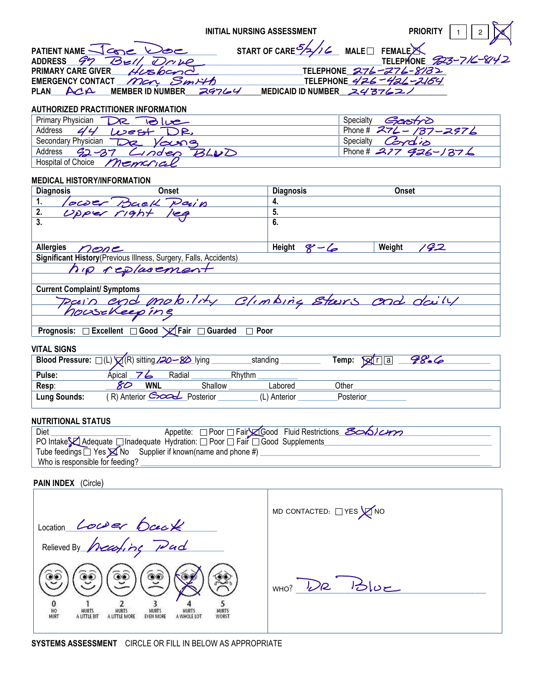|                                                            | <b>INITIAL NURSING ASSESSMENT</b>                                       | <b>PRIORITY</b><br>$\overline{2}$ |
|------------------------------------------------------------|-------------------------------------------------------------------------|-----------------------------------|
| PATIENT NAME Jane Doe<br>ADDRESS <i>G</i><br>Bell<br>Drive | START OF CARE $\frac{5}{2}$ / $\frac{2}{5}$ MALE $\Box$ FEMALE $\times$ | TELEPHONE 823-716-8142            |
| <b>PRIMARY CARE GIVER</b><br>Husband                       | TELEPHONE 276-276-8132                                                  |                                   |
| EMERGENCY CONTACT Man. Smith                               | TELEPHONE 426-426-2154                                                  |                                   |
| PLAN $\mathsf{ACA}$ MEMBER ID NUMBER                       | 29764<br>MEDICAID ID NUMBER スイ376ユノ                                     |                                   |
| AUTHORIZED PRACTITIONER INFORMATION                        |                                                                         |                                   |
| Primary Physician<br>DR<br>$\blacksquare$ انها             | Specialty                                                               | Gastro                            |
| Address<br>$L$ $e$ st<br>IR.                               |                                                                         | Phone # 274 - 137 - 2976          |
| Secondary Physician<br>De<br><b>Voung</b>                  | Specialty                                                               | Cordio                            |
| Address<br>$92 - 37$<br>$\rightarrow$ nden                 | BLVD                                                                    | Phone # 277 926-1376              |
| <b>Hospital of Choice</b>                                  |                                                                         |                                   |
|                                                            |                                                                         |                                   |

# **MEDICAL HISTORY/INFORMATION**

| <b>Diagnosis</b>                                                                     | Onset                                                             | <b>Diagnosis</b>  | <b>Onset</b>             |  |
|--------------------------------------------------------------------------------------|-------------------------------------------------------------------|-------------------|--------------------------|--|
| 1.                                                                                   | Tower Back Pain                                                   | 4.                |                          |  |
| 2.                                                                                   |                                                                   | 5.                |                          |  |
| 3.                                                                                   |                                                                   | 6.                |                          |  |
| <b>Allergies</b><br>nene                                                             |                                                                   | Height<br>$8 - 6$ | $\mathscr{G}2$<br>Weight |  |
|                                                                                      | Significant History (Previous Illness, Surgery, Falls, Accidents) |                   |                          |  |
|                                                                                      | hip replacement                                                   |                   |                          |  |
|                                                                                      |                                                                   |                   |                          |  |
| <b>Current Complaint/ Symptoms</b>                                                   |                                                                   |                   |                          |  |
| Davin and mobility Climbing Stars and daily                                          |                                                                   |                   |                          |  |
|                                                                                      |                                                                   |                   |                          |  |
|                                                                                      |                                                                   |                   |                          |  |
| $D$ regnesia: $\Box$ Excellent $\Box$ Ceed $\Box$ Esir $\Box$ Cuerded<br>$\Box$ Deer |                                                                   |                   |                          |  |

#### **Prognosis:** Excellent Good  $\chi$  Fair Guarded D Poor

 $\lambda$ 

### **VITAL SIGNS**

|              | Blood Pressure: □(L) Q(R) sitting 220 - 80 lying |         | standing     | Temp:<br>₩<br>r II a | Z8.6 |
|--------------|--------------------------------------------------|---------|--------------|----------------------|------|
| Pulse:       | Radial<br>Apical                                 |         | Rhythm       |                      |      |
| Resp:        | 80<br><b>WNL</b>                                 | Shallow | Labored      | Other                |      |
| Lung Sounds: | R) Anterior Good Posterior                       |         | (L) Anterior | Posterior            |      |

# **NUTRITIONAL STATUS**

| Diet                                                                           |  | Appetite: Poor Fair Good Fluid Restrictions Scoblem |  |  |
|--------------------------------------------------------------------------------|--|-----------------------------------------------------|--|--|
| i PO Intake EAdequate □ Inadequate Hydration: □ Poor □ Fair □ Good Supplements |  |                                                     |  |  |
| Tube feedings $\Box$ Yes $\boxtimes$ No Supplier if known(name and phone #)    |  |                                                     |  |  |
| Who is responsible for feeding?                                                |  |                                                     |  |  |

# PAIN INDEX (Circle)

| Location Lower back                                                                                                                                                                       | MD CONTACTED: $\Box$ YES $\bigtimes$ NO |
|-------------------------------------------------------------------------------------------------------------------------------------------------------------------------------------------|-----------------------------------------|
| Relieved By hearting Pad                                                                                                                                                                  |                                         |
| ھَ<br>کی<br>کی<br><b>HURTS</b><br>NO<br><b>HURTS</b><br><b>HURTS</b><br><b>HURTS</b><br><b>HURTS</b><br>WORST<br>HURT<br><b>EVEN MORE</b><br>A LITTLE BIT<br>A LITTLE MORE<br>A WHOLE LOT | L/2<br>WHO?<br>$12 - 1$                 |